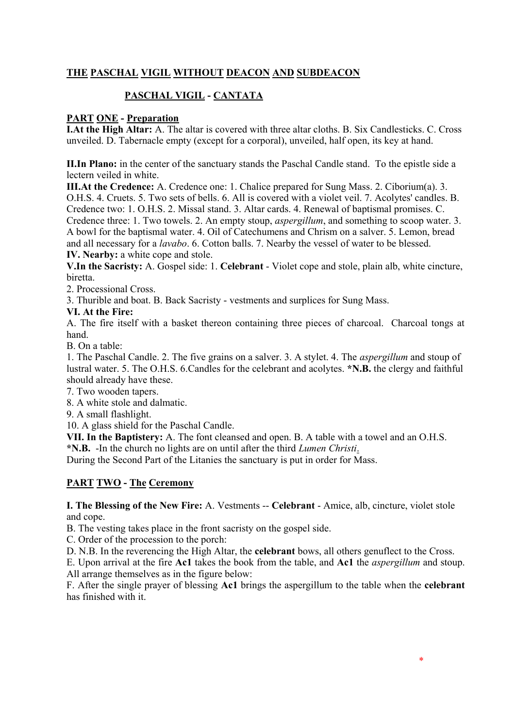## **THE PASCHAL VIGIL WITHOUT DEACON AND SUBDEACON**

# **PASCHAL VIGIL - CANTATA**

## **PART ONE - Preparation**

**I.At the High Altar:** A. The altar is covered with three altar cloths. B. Six Candlesticks. C. Cross unveiled. D. Tabernacle empty (except for a corporal), unveiled, half open, its key at hand.

**II.In Plano:** in the center of the sanctuary stands the Paschal Candle stand. To the epistle side a lectern veiled in white.

**III.At the Credence:** A. Credence one: 1. Chalice prepared for Sung Mass. 2. Ciborium(a). 3. O.H.S. 4. Cruets. 5. Two sets of bells. 6. All is covered with a violet veil. 7. Acolytes' candles. B. Credence two: 1. O.H.S. 2. Missal stand. 3. Altar cards. 4. Renewal of baptismal promises. C. Credence three: 1. Two towels. 2. An empty stoup, *aspergillum*, and something to scoop water. 3. A bowl for the baptismal water. 4. Oil of Catechumens and Chrism on a salver. 5. Lemon, bread and all necessary for a *lavabo*. 6. Cotton balls. 7. Nearby the vessel of water to be blessed. **IV. Nearby:** a white cope and stole.

**V.In the Sacristy:** A. Gospel side: 1. **Celebrant** - Violet cope and stole, plain alb, white cincture, biretta.

2. Processional Cross.

3. Thurible and boat. B. Back Sacristy - vestments and surplices for Sung Mass.

### **VI. At the Fire:**

A. The fire itself with a basket thereon containing three pieces of charcoal. Charcoal tongs at hand.

B. On a table:

1. The Paschal Candle. 2. The five grains on a salver. 3. A stylet. 4. The *aspergillum* and stoup of lustral water. 5. The O.H.S. 6.Candles for the celebrant and acolytes. **\*N.B.** the clergy and faithful should already have these.

7. Two wooden tapers.

8. A white stole and dalmatic.

9. A small flashlight.

10. A glass shield for the Paschal Candle.

**VII. In the Baptistery:** A. The font cleansed and open. B. A table with a towel and an O.H.S.

**\*N.B.** -In the church no lights are on until after the third *Lumen Christi*.

During the Second Part of the Litanies the sanctuary is put in order for Mass.

### **PART TWO - The Ceremony**

**I. The Blessing of the New Fire:** A. Vestments -- **Celebrant** - Amice, alb, cincture, violet stole and cope.

B. The vesting takes place in the front sacristy on the gospel side.

C. Order of the procession to the porch:

D. N.B. In the reverencing the High Altar, the **celebrant** bows, all others genuflect to the Cross.

E. Upon arrival at the fire **Ac1** takes the book from the table, and **Ac1** the *aspergillum* and stoup. All arrange themselves as in the figure below:

F. After the single prayer of blessing **Ac1** brings the aspergillum to the table when the **celebrant**  has finished with it.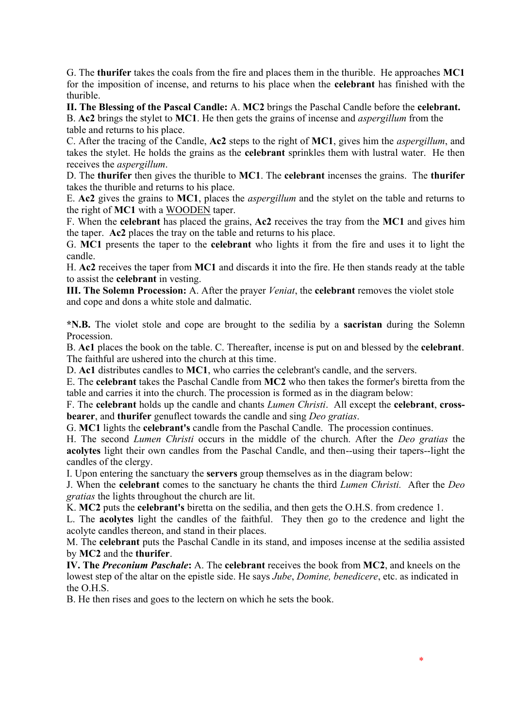G. The **thurifer** takes the coals from the fire and places them in the thurible. He approaches **MC1** for the imposition of incense, and returns to his place when the **celebrant** has finished with the thurible.

**II. The Blessing of the Pascal Candle:** A. **MC2** brings the Paschal Candle before the **celebrant.**  B. **Ac2** brings the stylet to **MC1**. He then gets the grains of incense and *aspergillum* from the

table and returns to his place.

C. After the tracing of the Candle, **Ac2** steps to the right of **MC1**, gives him the *aspergillum*, and takes the stylet. He holds the grains as the **celebrant** sprinkles them with lustral water. He then receives the *aspergillum*.

D. The **thurifer** then gives the thurible to **MC1**. The **celebrant** incenses the grains. The **thurifer**  takes the thurible and returns to his place.

E. **Ac2** gives the grains to **MC1**, places the *aspergillum* and the stylet on the table and returns to the right of **MC1** with a WOODEN taper.

F. When the **celebrant** has placed the grains, **Ac2** receives the tray from the **MC1** and gives him the taper. **Ac2** places the tray on the table and returns to his place.

G. **MC1** presents the taper to the **celebrant** who lights it from the fire and uses it to light the candle.

H. **Ac2** receives the taper from **MC1** and discards it into the fire. He then stands ready at the table to assist the **celebrant** in vesting.

**III. The Solemn Procession:** A. After the prayer *Veniat*, the **celebrant** removes the violet stole and cope and dons a white stole and dalmatic.

**\*N.B.** The violet stole and cope are brought to the sedilia by a **sacristan** during the Solemn Procession.

B. **Ac1** places the book on the table. C. Thereafter, incense is put on and blessed by the **celebrant**. The faithful are ushered into the church at this time.

D. **Ac1** distributes candles to **MC1**, who carries the celebrant's candle, and the servers.

E. The **celebrant** takes the Paschal Candle from **MC2** who then takes the former's biretta from the table and carries it into the church. The procession is formed as in the diagram below:

F. The **celebrant** holds up the candle and chants *Lumen Christi*. All except the **celebrant**, **crossbearer**, and **thurifer** genuflect towards the candle and sing *Deo gratias*.

G. **MC1** lights the **celebrant's** candle from the Paschal Candle. The procession continues.

H. The second *Lumen Christi* occurs in the middle of the church. After the *Deo gratias* the **acolytes** light their own candles from the Paschal Candle, and then--using their tapers--light the candles of the clergy.

I. Upon entering the sanctuary the **servers** group themselves as in the diagram below:

J. When the **celebrant** comes to the sanctuary he chants the third *Lumen Christi.* After the *Deo gratias* the lights throughout the church are lit.

K. **MC2** puts the **celebrant's** biretta on the sedilia, and then gets the O.H.S. from credence 1.

L. The **acolytes** light the candles of the faithful. They then go to the credence and light the acolyte candles thereon, and stand in their places.

M. The **celebrant** puts the Paschal Candle in its stand, and imposes incense at the sedilia assisted by **MC2** and the **thurifer**.

**IV. The** *Preconium Paschale***:** A. The **celebrant** receives the book from **MC2**, and kneels on the lowest step of the altar on the epistle side. He says *Jube*, *Domine, benedicere*, etc. as indicated in the O.H.S.

B. He then rises and goes to the lectern on which he sets the book.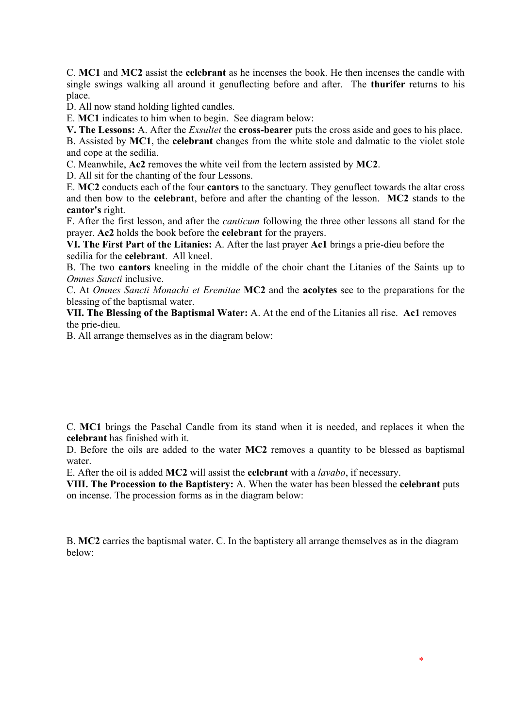C. **MC1** and **MC2** assist the **celebrant** as he incenses the book. He then incenses the candle with single swings walking all around it genuflecting before and after. The **thurifer** returns to his place.

D. All now stand holding lighted candles.

E. **MC1** indicates to him when to begin. See diagram below:

**V. The Lessons:** A. After the *Exsultet* the **cross-bearer** puts the cross aside and goes to his place.

B. Assisted by **MC1**, the **celebrant** changes from the white stole and dalmatic to the violet stole and cope at the sedilia.

C. Meanwhile, **Ac2** removes the white veil from the lectern assisted by **MC2**.

D. All sit for the chanting of the four Lessons.

E. **MC2** conducts each of the four **cantors** to the sanctuary. They genuflect towards the altar cross and then bow to the **celebrant**, before and after the chanting of the lesson. **MC2** stands to the **cantor's** right.

F. After the first lesson, and after the *canticum* following the three other lessons all stand for the prayer. **Ac2** holds the book before the **celebrant** for the prayers.

**VI. The First Part of the Litanies:** A. After the last prayer **Ac1** brings a prie-dieu before the sedilia for the **celebrant**. All kneel.

B. The two **cantors** kneeling in the middle of the choir chant the Litanies of the Saints up to *Omnes Sancti* inclusive.

C. At *Omnes Sancti Monachi et Eremitae* **MC2** and the **acolytes** see to the preparations for the blessing of the baptismal water.

**VII. The Blessing of the Baptismal Water:** A. At the end of the Litanies all rise. **Ac1** removes the prie-dieu.

B. All arrange themselves as in the diagram below:

C. **MC1** brings the Paschal Candle from its stand when it is needed, and replaces it when the **celebrant** has finished with it.

D. Before the oils are added to the water **MC2** removes a quantity to be blessed as baptismal water.

E. After the oil is added **MC2** will assist the **celebrant** with a *lavabo*, if necessary.

**VIII. The Procession to the Baptistery:** A. When the water has been blessed the **celebrant** puts on incense. The procession forms as in the diagram below:

B. **MC2** carries the baptismal water. C. In the baptistery all arrange themselves as in the diagram below: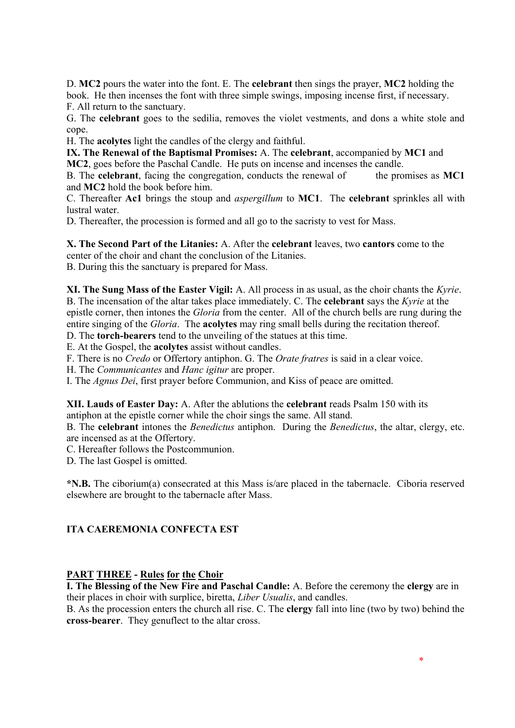D. **MC2** pours the water into the font. E. The **celebrant** then sings the prayer, **MC2** holding the book. He then incenses the font with three simple swings, imposing incense first, if necessary. F. All return to the sanctuary.

G. The **celebrant** goes to the sedilia, removes the violet vestments, and dons a white stole and cope.

H. The **acolytes** light the candles of the clergy and faithful.

**IX. The Renewal of the Baptismal Promises:** A. The **celebrant**, accompanied by **MC1** and **MC2**, goes before the Paschal Candle. He puts on incense and incenses the candle.

B. The **celebrant**, facing the congregation, conducts the renewal of the promises as **MC1** and **MC2** hold the book before him.

C. Thereafter **Ac1** brings the stoup and *aspergillum* to **MC1**. The **celebrant** sprinkles all with lustral water.

D. Thereafter, the procession is formed and all go to the sacristy to vest for Mass.

**X. The Second Part of the Litanies:** A. After the **celebrant** leaves, two **cantors** come to the center of the choir and chant the conclusion of the Litanies.

B. During this the sanctuary is prepared for Mass.

**XI. The Sung Mass of the Easter Vigil:** A. All process in as usual, as the choir chants the *Kyrie*. B. The incensation of the altar takes place immediately. C. The **celebrant** says the *Kyrie* at the epistle corner, then intones the *Gloria* from the center. All of the church bells are rung during the entire singing of the *Gloria*. The **acolytes** may ring small bells during the recitation thereof.

D. The **torch-bearers** tend to the unveiling of the statues at this time.

E. At the Gospel, the **acolytes** assist without candles.

F. There is no *Credo* or Offertory antiphon. G. The *Orate fratres* is said in a clear voice.

H. The *Communicantes* and *Hanc igitur* are proper.

I. The *Agnus Dei*, first prayer before Communion, and Kiss of peace are omitted.

**XII. Lauds of Easter Day:** A. After the ablutions the **celebrant** reads Psalm 150 with its antiphon at the epistle corner while the choir sings the same. All stand.

B. The **celebrant** intones the *Benedictus* antiphon. During the *Benedictus*, the altar, clergy, etc. are incensed as at the Offertory.

C. Hereafter follows the Postcommunion.

D. The last Gospel is omitted.

**\*N.B.** The ciborium(a) consecrated at this Mass is/are placed in the tabernacle. Ciboria reserved elsewhere are brought to the tabernacle after Mass.

### **ITA CAEREMONIA CONFECTA EST**

### **PART THREE - Rules for the Choir**

**I. The Blessing of the New Fire and Paschal Candle:** A. Before the ceremony the **clergy** are in their places in choir with surplice, biretta, *Liber Usualis*, and candles.

B. As the procession enters the church all rise. C. The **clergy** fall into line (two by two) behind the **cross-bearer**. They genuflect to the altar cross.